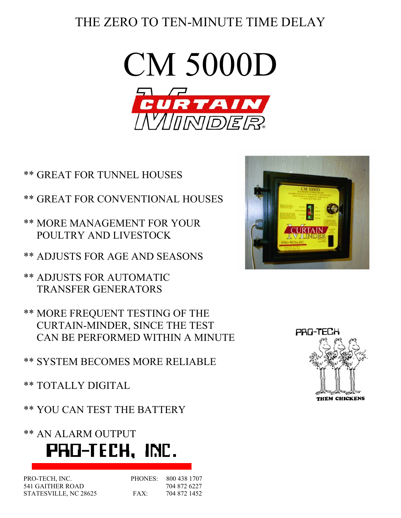## THE ZERO TO TEN-MINUTE TIME DELAY



- \*\* GREAT FOR TUNNEL HOUSES
- \*\* GREAT FOR CONVENTIONAL HOUSES
- \*\* MORE MANAGEMENT FOR YOUR POULTRY AND LIVESTOCK
- \*\* ADJUSTS FOR AGE AND SEASONS
- \*\* ADJUSTS FOR AUTOMATIC TRANSFER GENERATORS
- \*\* MORE FREQUENT TESTING OF THE CURTAIN-MINDER, SINCE THE TEST CAN BE PERFORMED WITHIN A MINUTE

\*\* SYSTEM BECOMES MORE RELIABLE

- \*\* TOTALLY DIGITAL
- \*\* YOU CAN TEST THE BATTERY

\*\* AN ALARM OUTPUT



| PRO-TECH, INC.        | PHONES <sup>.</sup> | 800 438 1707 |
|-----------------------|---------------------|--------------|
| 541 GAITHER ROAD      |                     | 704 872 6227 |
| STATESVILLE, NC 28625 | $FAX^+$             | 704 872 1452 |